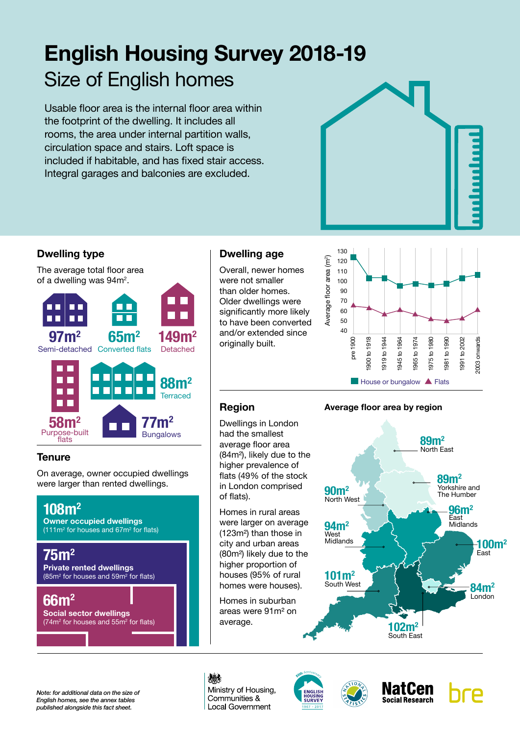# **English Housing Survey 2018-19** Size of English homes

Usable floor area is the internal floor area within the footprint of the dwelling. It includes all rooms, the area under internal partition walls, circulation space and stairs. Loft space is included if habitable, and has fixed stair access. Integral garages and balconies are excluded.



# **Dwelling type**

The average total floor area of a dwelling was  $94m^2$ .



# **Tenure**

On average, owner occupied dwellings were larger than rented dwellings.



# **Dwelling age**

Overall, newer homes were not smaller than older homes. Older dwellings were significantly more likely to have been converted and/or extended since originally built.



# **Region**

Dwellings in London had the smallest average floor area (84m²), likely due to the higher prevalence of flats (49% of the stock in London comprised of flats).

Homes in rural areas were larger on average (123m²) than those in city and urban areas (80m²) likely due to the higher proportion of houses (95% of rural homes were houses).

Homes in suburban areas were 91m² on average.